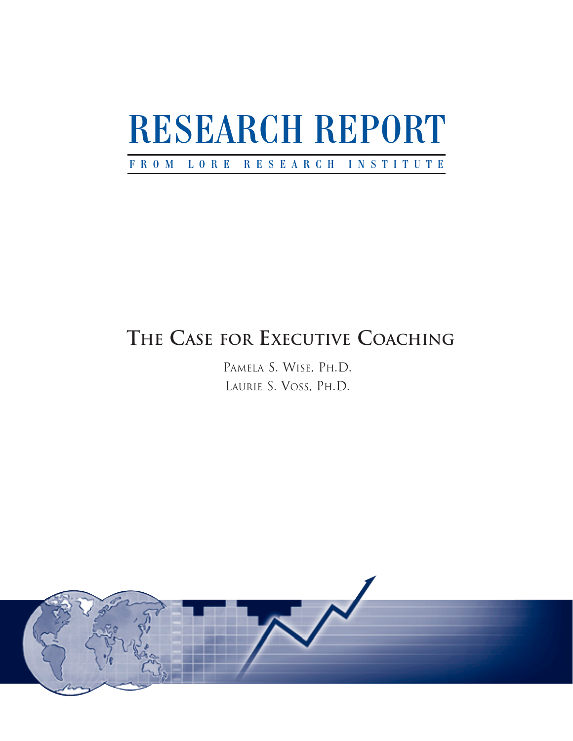# RESEARCH REPORT

# F ROM L O R E R E S EARCH INSTITUTE

# **THE CASE FOR EXECUTIVE COACHING**

PAMELA S. WISE, PH.D. LAURIE S. VOSS, PH.D.

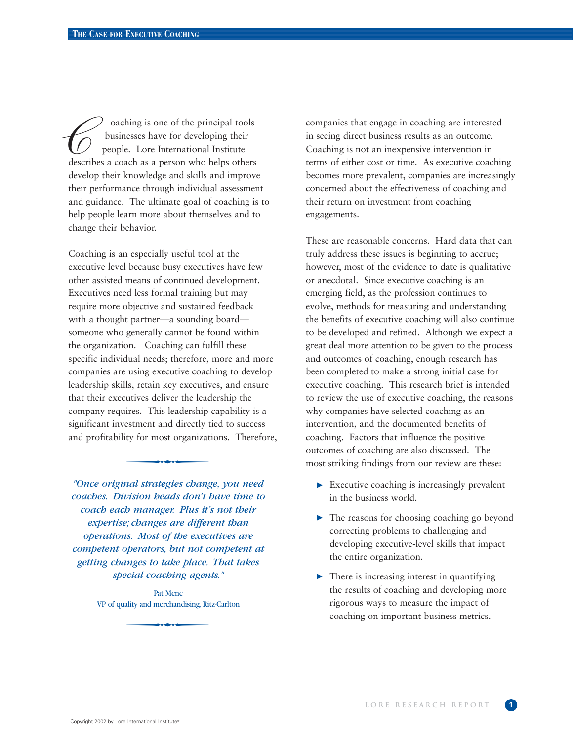oaching is one of the principal tools businesses have for developing their people. Lore International Institute oaching is one of the principal tools<br>businesses have for developing their<br>people. Lore International Institute<br>describes a coach as a person who helps others develop their knowledge and skills and improve their performance through individual assessment and guidance. The ultimate goal of coaching is to help people learn more about themselves and to change their behavior.

Coaching is an especially useful tool at the executive level because busy executives have few other assisted means of continued development. Executives need less formal training but may require more objective and sustained feedback with a thought partner—a sounding board someone who generally cannot be found within the organization. Coaching can fulfill these specific individual needs; therefore, more and more companies are using executive coaching to develop leadership skills, retain key executives, and ensure that their executives deliver the leadership the company requires. This leadership capability is a<br>significant investment and directly tied to success<br>and profitability for most organizations. Therefore<br><br>with the content of the content of the content of the content of th significant investment and directly tied to success and profitability for most organizations. Therefore,

*"Once original strategies change, you need coaches. Division heads don't have time to coach each manager. Plus it's not their expertise; changes are different than operations. Most of the executives are competent operators, but not competent at getting changes to take place. That takes special coaching agents."*

ecial coaching agents."<br>
Pat Mene<br>
ality and merchandising, Ritz-Carlton Pat Mene VP of quality and merchandising, Ritz-Carlton

companies that engage in coaching are interested in seeing direct business results as an outcome. Coaching is not an inexpensive intervention in terms of either cost or time. As executive coaching becomes more prevalent, companies are increasingly concerned about the effectiveness of coaching and their return on investment from coaching engagements.

These are reasonable concerns. Hard data that can truly address these issues is beginning to accrue; however, most of the evidence to date is qualitative or anecdotal. Since executive coaching is an emerging field, as the profession continues to evolve, methods for measuring and understanding the benefits of executive coaching will also continue to be developed and refined. Although we expect a great deal more attention to be given to the process and outcomes of coaching, enough research has been completed to make a strong initial case for executive coaching. This research brief is intended to review the use of executive coaching, the reasons why companies have selected coaching as an intervention, and the documented benefits of coaching. Factors that influence the positive outcomes of coaching are also discussed. The most striking findings from our review are these:

- $\triangleright$  Executive coaching is increasingly prevalent in the business world.
- The reasons for choosing coaching go beyond correcting problems to challenging and developing executive-level skills that impact the entire organization.
- There is increasing interest in quantifying the results of coaching and developing more rigorous ways to measure the impact of coaching on important business metrics.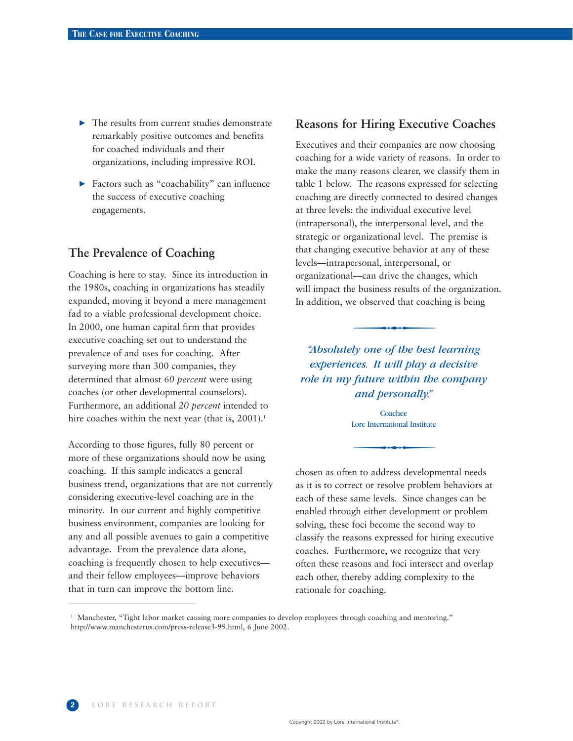- $\blacktriangleright$  The results from current studies demonstrate remarkably positive outcomes and benefits for coached individuals and their organizations, including impressive ROI.
- Factors such as "coachability" can influence the success of executive coaching engagements.

# **The Prevalence of Coaching**

Coaching is here to stay. Since its introduction in the 1980s, coaching in organizations has steadily expanded, moving it beyond a mere management fad to a viable professional development choice. In 2000, one human capital firm that provides executive coaching set out to understand the prevalence of and uses for coaching. After surveying more than 300 companies, they determined that almost *60 percent* were using coaches (or other developmental counselors). Furthermore, an additional *20 percent* intended to hire coaches within the next year (that is,  $2001$ ).<sup>1</sup>

According to those figures, fully 80 percent or more of these organizations should now be using coaching. If this sample indicates a general business trend, organizations that are not currently considering executive-level coaching are in the minority. In our current and highly competitive business environment, companies are looking for any and all possible avenues to gain a competitive advantage. From the prevalence data alone, coaching is frequently chosen to help executives and their fellow employees—improve behaviors that in turn can improve the bottom line.

#### **Reasons for Hiring Executive Coaches**

Executives and their companies are now choosing coaching for a wide variety of reasons. In order to make the many reasons clearer, we classify them in table 1 below. The reasons expressed for selecting coaching are directly connected to desired changes at three levels: the individual executive level (intrapersonal), the interpersonal level, and the strategic or organizational level. The premise is that changing executive behavior at any of these levels—intrapersonal, interpersonal, or organizational—can drive the changes, which<br>will impact the business results of the organization<br>In addition, we observed that coaching is bein<br>addition, we observed that coaching is bein<br>addition one of the best learning will impact the business results of the organization. In addition, we observed that coaching is being

*"Absolutely one of the best learning experiences. It will play a decisive role in my future within the company and personally."*

and personally."<br>Coachee<br>Lore International Institute Coachee Lore International Institute

chosen as often to address developmental needs as it is to correct or resolve problem behaviors at each of these same levels. Since changes can be enabled through either development or problem solving, these foci become the second way to classify the reasons expressed for hiring executive coaches. Furthermore, we recognize that very often these reasons and foci intersect and overlap each other, thereby adding complexity to the rationale for coaching.

<sup>&</sup>lt;sup>1</sup> Manchester, "Tight labor market causing more companies to develop employees through coaching and mentoring." http://www.manchesterus.com/press-release3-99.html, 6 June 2002.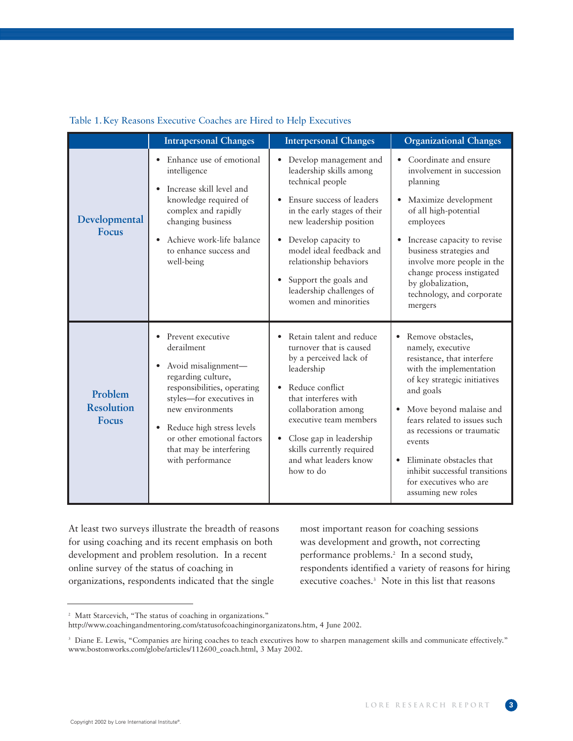|                                              | <b>Intrapersonal Changes</b>                                                                                                                                                                                                                                                       | <b>Interpersonal Changes</b>                                                                                                                                                                                                                                                                                                                                                | <b>Organizational Changes</b>                                                                                                                                                                                                                                                                                                                                                                        |
|----------------------------------------------|------------------------------------------------------------------------------------------------------------------------------------------------------------------------------------------------------------------------------------------------------------------------------------|-----------------------------------------------------------------------------------------------------------------------------------------------------------------------------------------------------------------------------------------------------------------------------------------------------------------------------------------------------------------------------|------------------------------------------------------------------------------------------------------------------------------------------------------------------------------------------------------------------------------------------------------------------------------------------------------------------------------------------------------------------------------------------------------|
| Developmental<br><b>Focus</b>                | Enhance use of emotional<br>intelligence<br>Increase skill level and<br>knowledge required of<br>complex and rapidly<br>changing business<br>Achieve work-life balance<br>to enhance success and<br>well-being                                                                     | Develop management and<br>$\bullet$<br>leadership skills among<br>technical people<br>Ensure success of leaders<br>$\bullet$<br>in the early stages of their<br>new leadership position<br>Develop capacity to<br>$\bullet$<br>model ideal feedback and<br>relationship behaviors<br>Support the goals and<br>$\bullet$<br>leadership challenges of<br>women and minorities | • Coordinate and ensure<br>involvement in succession<br>planning<br>Maximize development<br>$\bullet$<br>of all high-potential<br>employees<br>Increase capacity to revise<br>$\bullet$<br>business strategies and<br>involve more people in the<br>change process instigated<br>by globalization,<br>technology, and corporate<br>mergers                                                           |
| Problem<br><b>Resolution</b><br><b>Focus</b> | Prevent executive<br>derailment<br>Avoid misalignment-<br>regarding culture,<br>responsibilities, operating<br>styles-for executives in<br>new environments<br>Reduce high stress levels<br>$\bullet$<br>or other emotional factors<br>that may be interfering<br>with performance | Retain talent and reduce<br>turnover that is caused<br>by a perceived lack of<br>leadership<br>Reduce conflict<br>that interferes with<br>collaboration among<br>executive team members<br>Close gap in leadership<br>$\bullet$<br>skills currently required<br>and what leaders know<br>how to do                                                                          | Remove obstacles,<br>$\bullet$<br>namely, executive<br>resistance, that interfere<br>with the implementation<br>of key strategic initiatives<br>and goals<br>Move beyond malaise and<br>$\bullet$<br>fears related to issues such<br>as recessions or traumatic<br>events<br>Eliminate obstacles that<br>$\bullet$<br>inhibit successful transitions<br>for executives who are<br>assuming new roles |

#### Table 1. Key Reasons Executive Coaches are Hired to Help Executives

At least two surveys illustrate the breadth of reasons for using coaching and its recent emphasis on both development and problem resolution. In a recent online survey of the status of coaching in organizations, respondents indicated that the single

most important reason for coaching sessions was development and growth, not correcting performance problems.<sup>2</sup> In a second study, respondents identified a variety of reasons for hiring executive coaches.<sup>3</sup> Note in this list that reasons

<sup>&</sup>lt;sup>2</sup> Matt Starcevich, "The status of coaching in organizations."

http://www.coachingandmentoring.com/statusofcoachinginorganizatons.htm, 4 June 2002.

<sup>&</sup>lt;sup>3</sup> Diane E. Lewis, "Companies are hiring coaches to teach executives how to sharpen management skills and communicate effectively." www.bostonworks.com/globe/articles/112600\_coach.html, 3 May 2002.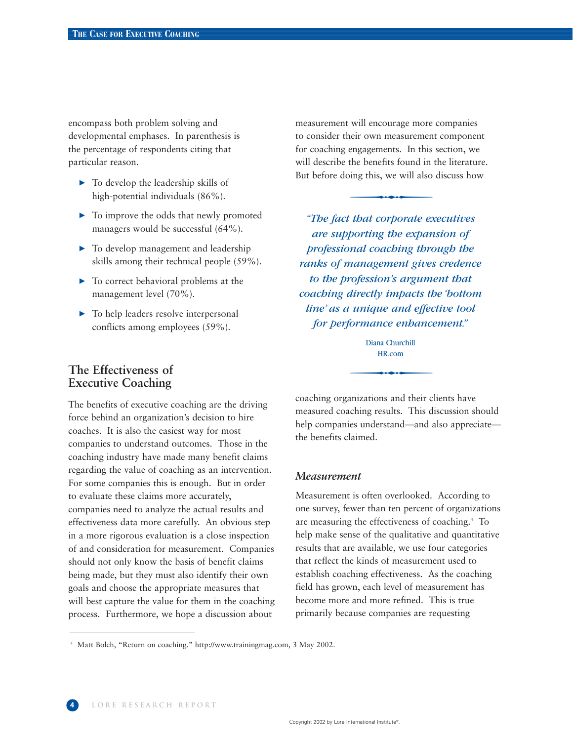encompass both problem solving and developmental emphases. In parenthesis is the percentage of respondents citing that particular reason.

- $\triangleright$  To develop the leadership skills of high-potential individuals (86%).
- $\blacktriangleright$  To improve the odds that newly promoted managers would be successful (64%).
- $\blacktriangleright$  To develop management and leadership skills among their technical people (59%).
- $\blacktriangleright$  To correct behavioral problems at the management level (70%).
- $\blacktriangleright$  To help leaders resolve interpersonal conflicts among employees (59%).

measurement will encourage more companies to consider their own measurement component for coaching engagements. In this section, we will describe the benefits found in the literature. But before doing this, we will also discuss how en own measurement<br>engagements. In this<br>the benefits found in<br>ing this, we will also

*for performance enhancement."*<br>
Diana Churchill<br>
HR.com *"The fact that corporate executives are supporting the expansion of professional coaching through the ranks of management gives credence to the profession's argument that coaching directly impacts the 'bottom line' as a unique and effective tool* 

#### Diana Churchill HR.com

# **The Effectiveness of Executive Coaching**

The benefits of executive coaching are the driving force behind an organization's decision to hire coaches. It is also the easiest way for most companies to understand outcomes. Those in the coaching industry have made many benefit claims regarding the value of coaching as an intervention. For some companies this is enough. But in order to evaluate these claims more accurately, companies need to analyze the actual results and effectiveness data more carefully. An obvious step in a more rigorous evaluation is a close inspection of and consideration for measurement. Companies should not only know the basis of benefit claims being made, but they must also identify their own goals and choose the appropriate measures that will best capture the value for them in the coaching process. Furthermore, we hope a discussion about

coaching organizations and their clients have measured coaching results. This discussion should help companies understand—and also appreciate the benefits claimed.

#### *Measurement*

Measurement is often overlooked. According to one survey, fewer than ten percent of organizations are measuring the effectiveness of coaching.<sup>4</sup> To help make sense of the qualitative and quantitative results that are available, we use four categories that reflect the kinds of measurement used to establish coaching effectiveness. As the coaching field has grown, each level of measurement has become more and more refined. This is true primarily because companies are requesting

<sup>4</sup> Matt Bolch, "Return on coaching." http://www.trainingmag.com, 3 May 2002.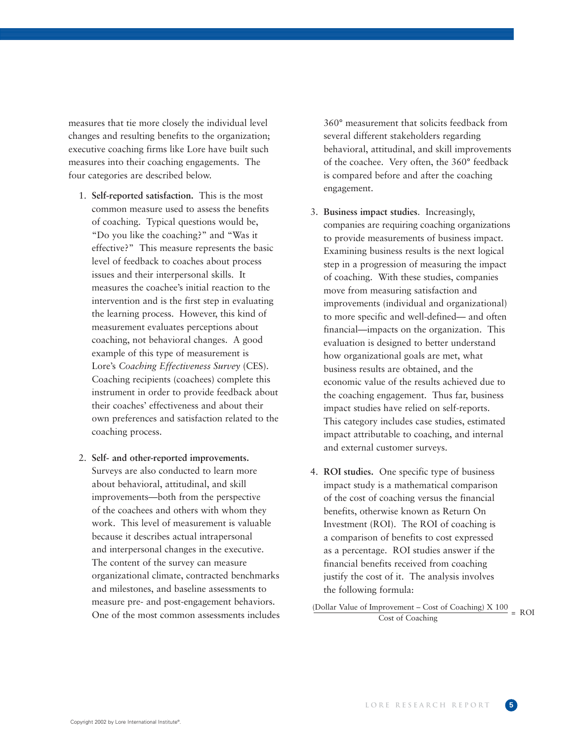measures that tie more closely the individual level changes and resulting benefits to the organization; executive coaching firms like Lore have built such measures into their coaching engagements. The four categories are described below.

- 1. **Self-reported satisfaction.** This is the most common measure used to assess the benefits of coaching. Typical questions would be, "Do you like the coaching?" and "Was it effective?" This measure represents the basic level of feedback to coaches about process issues and their interpersonal skills. It measures the coachee's initial reaction to the intervention and is the first step in evaluating the learning process. However, this kind of measurement evaluates perceptions about coaching, not behavioral changes. A good example of this type of measurement is Lore's *Coaching Effectiveness Survey* (CES). Coaching recipients (coachees) complete this instrument in order to provide feedback about their coaches' effectiveness and about their own preferences and satisfaction related to the coaching process.
- 2. **Self- and other-reported improvements.** Surveys are also conducted to learn more about behavioral, attitudinal, and skill improvements—both from the perspective of the coachees and others with whom they work. This level of measurement is valuable because it describes actual intrapersonal and interpersonal changes in the executive. The content of the survey can measure organizational climate, contracted benchmarks and milestones, and baseline assessments to measure pre- and post-engagement behaviors. One of the most common assessments includes

360° measurement that solicits feedback from several different stakeholders regarding behavioral, attitudinal, and skill improvements of the coachee. Very often, the 360° feedback is compared before and after the coaching engagement.

- 3. **Business impact studies**. Increasingly, companies are requiring coaching organizations to provide measurements of business impact. Examining business results is the next logical step in a progression of measuring the impact of coaching. With these studies, companies move from measuring satisfaction and improvements (individual and organizational) to more specific and well-defined— and often financial—impacts on the organization. This evaluation is designed to better understand how organizational goals are met, what business results are obtained, and the economic value of the results achieved due to the coaching engagement. Thus far, business impact studies have relied on self-reports. This category includes case studies, estimated impact attributable to coaching, and internal and external customer surveys.
- 4. **ROI studies.** One specific type of business impact study is a mathematical comparison of the cost of coaching versus the financial benefits, otherwise known as Return On Investment (ROI). The ROI of coaching is a comparison of benefits to cost expressed as a percentage. ROI studies answer if the financial benefits received from coaching justify the cost of it. The analysis involves the following formula:

 $\frac{\text{(Dollar Value of Improvement - Cost of Coaching)}{100}}{\text{Cost of Coaching}} = \text{ROI}$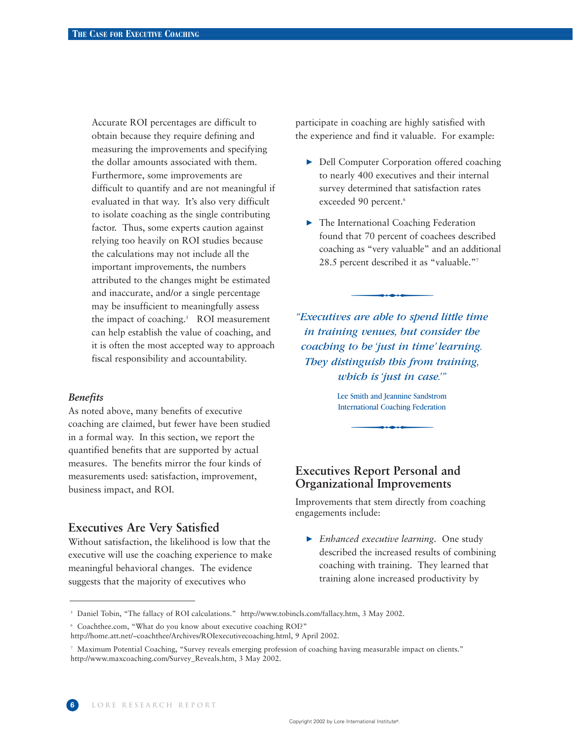Accurate ROI percentages are difficult to obtain because they require defining and measuring the improvements and specifying the dollar amounts associated with them. Furthermore, some improvements are difficult to quantify and are not meaningful if evaluated in that way. It's also very difficult to isolate coaching as the single contributing factor. Thus, some experts caution against relying too heavily on ROI studies because the calculations may not include all the important improvements, the numbers attributed to the changes might be estimated and inaccurate, and/or a single percentage may be insufficient to meaningfully assess the impact of coaching.<sup>5</sup> ROI measurement can help establish the value of coaching, and it is often the most accepted way to approach fiscal responsibility and accountability.

#### *Benefits*

As noted above, many benefits of executive coaching are claimed, but fewer have been studied in a formal way. In this section, we report the quantified benefits that are supported by actual measures. The benefits mirror the four kinds of measurements used: satisfaction, improvement, business impact, and ROI.

#### **Executives Are Very Satisfied**

Without satisfaction, the likelihood is low that the executive will use the coaching experience to make meaningful behavioral changes. The evidence suggests that the majority of executives who

participate in coaching are highly satisfied with the experience and find it valuable. For example:

- ▶ Dell Computer Corporation offered coaching to nearly 400 executives and their internal survey determined that satisfaction rates exceeded 90 percent.<sup>6</sup>
- ▶ The International Coaching Federation found that 70 percent of coachees described coaching as "very valuable" and an additional 28.5 percent described it as "valuable."7 mat /0 percent or coad<br>g as "very valuable" a<br>rcent described it as "

bich is 'just in case.'"<br>
Smith and Jeannine Sandstrom<br>
Fractional Coaching Federation *"Executives are able to spend little time in training venues, but consider the coaching to be 'just in time' learning. They distinguish this from training, which is 'just in case.'"*

Lee Smith and Jeannine Sandstrom International Coaching Federation

# **Executives Report Personal and Organizational Improvements**

Improvements that stem directly from coaching engagements include:

 *Enhanced executive learning*. One study described the increased results of combining coaching with training. They learned that training alone increased productivity by

<sup>5</sup> Daniel Tobin, "The fallacy of ROI calculations." http://www.tobincls.com/fallacy.htm, 3 May 2002.

<sup>6</sup> Coachthee.com, "What do you know about executive coaching ROI?"

http://home.att.net/~coachthee/Archives/ROIexecutivecoaching.html, 9 April 2002.

<sup>7</sup> Maximum Potential Coaching, "Survey reveals emerging profession of coaching having measurable impact on clients." http://www.maxcoaching.com/Survey\_Reveals.htm, 3 May 2002.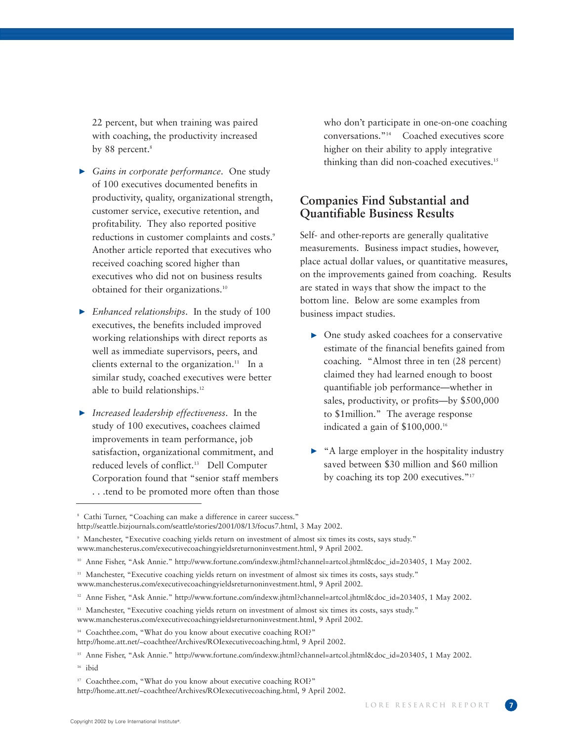22 percent, but when training was paired with coaching, the productivity increased by 88 percent.<sup>8</sup>

- *Gains in corporate performance*. One study of 100 executives documented benefits in productivity, quality, organizational strength, customer service, executive retention, and profitability. They also reported positive reductions in customer complaints and costs.<sup>9</sup> Another article reported that executives who received coaching scored higher than executives who did not on business results obtained for their organizations.10
- *Enhanced relationships*. In the study of 100 executives, the benefits included improved working relationships with direct reports as well as immediate supervisors, peers, and clients external to the organization.<sup>11</sup> In a similar study, coached executives were better able to build relationships.<sup>12</sup>
- *Increased leadership effectiveness*. In the study of 100 executives, coachees claimed improvements in team performance, job satisfaction, organizational commitment, and reduced levels of conflict.13 Dell Computer Corporation found that "senior staff members . . .tend to be promoted more often than those

who don't participate in one-on-one coaching conversations."14 Coached executives score higher on their ability to apply integrative thinking than did non-coached executives.<sup>15</sup>

# **Companies Find Substantial and Quantifiable Business Results**

Self- and other-reports are generally qualitative measurements. Business impact studies, however, place actual dollar values, or quantitative measures, on the improvements gained from coaching. Results are stated in ways that show the impact to the bottom line. Below are some examples from business impact studies.

- One study asked coachees for a conservative estimate of the financial benefits gained from coaching. "Almost three in ten (28 percent) claimed they had learned enough to boost quantifiable job performance—whether in sales, productivity, or profits—by \$500,000 to \$1million." The average response indicated a gain of \$100,000.16
- ▶ "A large employer in the hospitality industry saved between \$30 million and \$60 million by coaching its top 200 executives."17

http://home.att.net/~coachthee/Archives/ROIexecutivecoaching.html, 9 April 2002.

<sup>8</sup> Cathi Turner, "Coaching can make a difference in career success."

http://seattle.bizjournals.com/seattle/stories/2001/08/13/focus7.html, 3 May 2002.

<sup>9</sup> Manchester, "Executive coaching yields return on investment of almost six times its costs, says study." www.manchesterus.com/executivecoachingyieldsreturnoninvestment.html, 9 April 2002.

<sup>&</sup>lt;sup>10</sup> Anne Fisher, "Ask Annie." http://www.fortune.com/indexw.jhtml?channel=artcol.jhtml&doc\_id=203405, 1 May 2002.

<sup>&</sup>lt;sup>11</sup> Manchester, "Executive coaching yields return on investment of almost six times its costs, says study." www.manchesterus.com/executivecoachingyieldsreturnoninvestment.html, 9 April 2002.

<sup>&</sup>lt;sup>12</sup> Anne Fisher, "Ask Annie." http://www.fortune.com/indexw.jhtml?channel=artcol.jhtml&doc\_id=203405, 1 May 2002.

<sup>&</sup>lt;sup>13</sup> Manchester, "Executive coaching yields return on investment of almost six times its costs, says study."

www.manchesterus.com/executivecoachingyieldsreturnoninvestment.html, 9 April 2002.

<sup>&</sup>lt;sup>14</sup> Coachthee.com, "What do you know about executive coaching ROI?"

http://home.att.net/~coachthee/Archives/ROIexecutivecoaching.html, 9 April 2002.

<sup>&</sup>lt;sup>15</sup> Anne Fisher, "Ask Annie." http://www.fortune.com/indexw.jhtml?channel=artcol.jhtml&doc\_id=203405, 1 May 2002.

 $16$  ibid

<sup>&</sup>lt;sup>17</sup> Coachthee.com, "What do you know about executive coaching ROI?"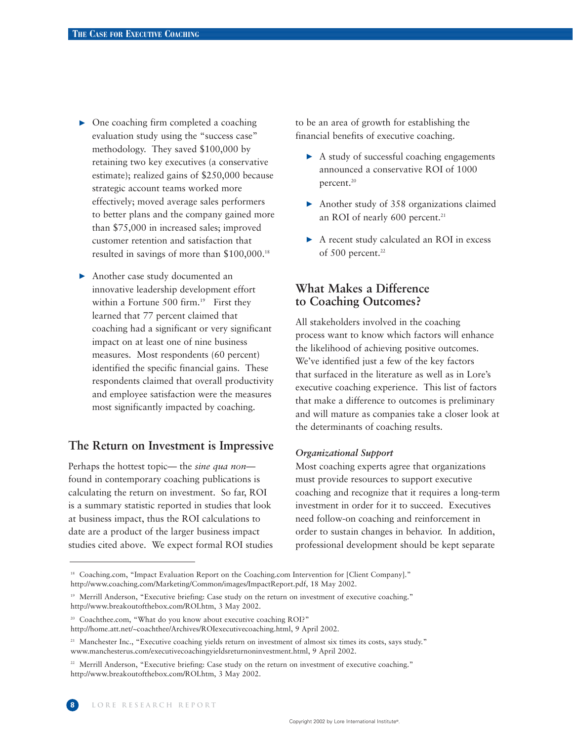- One coaching firm completed a coaching evaluation study using the "success case" methodology. They saved \$100,000 by retaining two key executives (a conservative estimate); realized gains of \$250,000 because strategic account teams worked more effectively; moved average sales performers to better plans and the company gained more than \$75,000 in increased sales; improved customer retention and satisfaction that resulted in savings of more than \$100,000.18
- Another case study documented an innovative leadership development effort within a Fortune 500 firm.<sup>19</sup> First they learned that 77 percent claimed that coaching had a significant or very significant impact on at least one of nine business measures. Most respondents (60 percent) identified the specific financial gains. These respondents claimed that overall productivity and employee satisfaction were the measures most significantly impacted by coaching.

# **The Return on Investment is Impressive**

Perhaps the hottest topic— the *sine qua non* found in contemporary coaching publications is calculating the return on investment. So far, ROI is a summary statistic reported in studies that look at business impact, thus the ROI calculations to date are a product of the larger business impact studies cited above. We expect formal ROI studies to be an area of growth for establishing the financial benefits of executive coaching.

- A study of successful coaching engagements announced a conservative ROI of 1000 percent.<sup>20</sup>
- Another study of 358 organizations claimed an ROI of nearly 600 percent.<sup>21</sup>
- ▶ A recent study calculated an ROI in excess of 500 percent.<sup>22</sup>

# **What Makes a Difference to Coaching Outcomes?**

All stakeholders involved in the coaching process want to know which factors will enhance the likelihood of achieving positive outcomes. We've identified just a few of the key factors that surfaced in the literature as well as in Lore's executive coaching experience. This list of factors that make a difference to outcomes is preliminary and will mature as companies take a closer look at the determinants of coaching results.

#### *Organizational Support*

Most coaching experts agree that organizations must provide resources to support executive coaching and recognize that it requires a long-term investment in order for it to succeed. Executives need follow-on coaching and reinforcement in order to sustain changes in behavior. In addition, professional development should be kept separate

<sup>&</sup>lt;sup>18</sup> Coaching.com, "Impact Evaluation Report on the Coaching.com Intervention for [Client Company]." http://www.coaching.com/Marketing/Common/images/ImpactReport.pdf, 18 May 2002.

<sup>19</sup> Merrill Anderson, "Executive briefing: Case study on the return on investment of executive coaching." http://www.breakoutofthebox.com/ROI.htm, 3 May 2002.

<sup>&</sup>lt;sup>20</sup> Coachthee.com, "What do you know about executive coaching ROI?"

http://home.att.net/~coachthee/Archives/ROIexecutivecoaching.html, 9 April 2002.

<sup>&</sup>lt;sup>21</sup> Manchester Inc., "Executive coaching yields return on investment of almost six times its costs, says study." www.manchesterus.com/executivecoachingyieldsreturnoninvestment.html, 9 April 2002.

<sup>&</sup>lt;sup>22</sup> Merrill Anderson, "Executive briefing: Case study on the return on investment of executive coaching." http://www.breakoutofthebox.com/ROI.htm, 3 May 2002.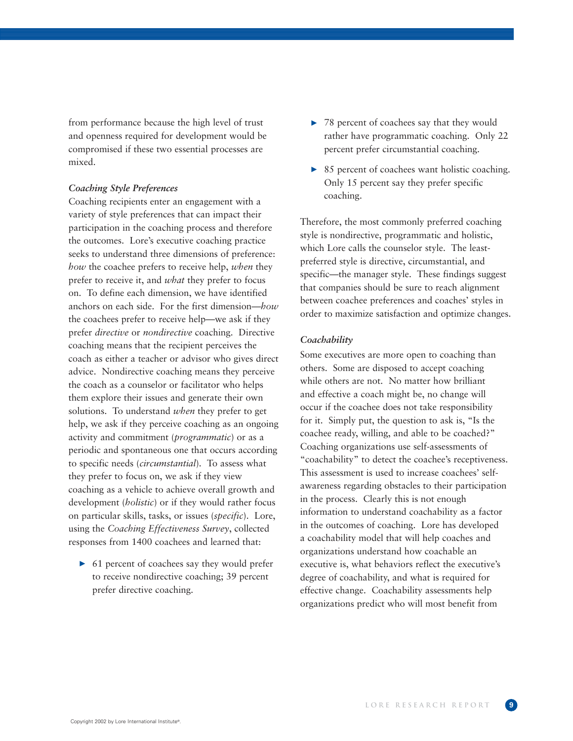from performance because the high level of trust and openness required for development would be compromised if these two essential processes are mixed.

#### *Coaching Style Preferences*

Coaching recipients enter an engagement with a variety of style preferences that can impact their participation in the coaching process and therefore the outcomes. Lore's executive coaching practice seeks to understand three dimensions of preference: *how* the coachee prefers to receive help, *when* they prefer to receive it, and *what* they prefer to focus on. To define each dimension, we have identified anchors on each side. For the first dimension—*how* the coachees prefer to receive help—we ask if they prefer *directive* or *nondirective* coaching. Directive coaching means that the recipient perceives the coach as either a teacher or advisor who gives direct advice. Nondirective coaching means they perceive the coach as a counselor or facilitator who helps them explore their issues and generate their own solutions. To understand *when* they prefer to get help, we ask if they perceive coaching as an ongoing activity and commitment (*programmatic*) or as a periodic and spontaneous one that occurs according to specific needs (*circumstantial*). To assess what they prefer to focus on, we ask if they view coaching as a vehicle to achieve overall growth and development (*holistic*) or if they would rather focus on particular skills, tasks, or issues (*specific*). Lore, using the *Coaching Effectiveness Survey*, collected responses from 1400 coachees and learned that:

▶ 61 percent of coachees say they would prefer to receive nondirective coaching; 39 percent prefer directive coaching.

- ▶ 78 percent of coachees say that they would rather have programmatic coaching. Only 22 percent prefer circumstantial coaching.
- ▶ 85 percent of coachees want holistic coaching. Only 15 percent say they prefer specific coaching.

Therefore, the most commonly preferred coaching style is nondirective, programmatic and holistic, which Lore calls the counselor style. The leastpreferred style is directive, circumstantial, and specific—the manager style. These findings suggest that companies should be sure to reach alignment between coachee preferences and coaches' styles in order to maximize satisfaction and optimize changes.

#### *Coachability*

Some executives are more open to coaching than others. Some are disposed to accept coaching while others are not. No matter how brilliant and effective a coach might be, no change will occur if the coachee does not take responsibility for it. Simply put, the question to ask is, "Is the coachee ready, willing, and able to be coached?" Coaching organizations use self-assessments of "coachability" to detect the coachee's receptiveness. This assessment is used to increase coachees' selfawareness regarding obstacles to their participation in the process. Clearly this is not enough information to understand coachability as a factor in the outcomes of coaching. Lore has developed a coachability model that will help coaches and organizations understand how coachable an executive is, what behaviors reflect the executive's degree of coachability, and what is required for effective change. Coachability assessments help organizations predict who will most benefit from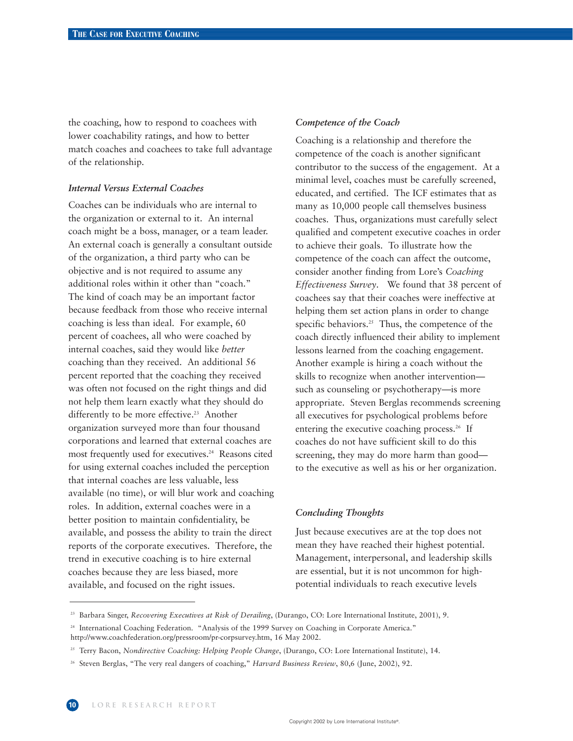the coaching, how to respond to coachees with lower coachability ratings, and how to better match coaches and coachees to take full advantage of the relationship.

#### *Internal Versus External Coaches*

Coaches can be individuals who are internal to the organization or external to it. An internal coach might be a boss, manager, or a team leader. An external coach is generally a consultant outside of the organization, a third party who can be objective and is not required to assume any additional roles within it other than "coach." The kind of coach may be an important factor because feedback from those who receive internal coaching is less than ideal. For example, 60 percent of coachees, all who were coached by internal coaches, said they would like *better* coaching than they received. An additional 56 percent reported that the coaching they received was often not focused on the right things and did not help them learn exactly what they should do differently to be more effective.<sup>23</sup> Another organization surveyed more than four thousand corporations and learned that external coaches are most frequently used for executives.<sup>24</sup> Reasons cited for using external coaches included the perception that internal coaches are less valuable, less available (no time), or will blur work and coaching roles. In addition, external coaches were in a better position to maintain confidentiality, be available, and possess the ability to train the direct reports of the corporate executives. Therefore, the trend in executive coaching is to hire external coaches because they are less biased, more available, and focused on the right issues.

#### *Competence of the Coach*

Coaching is a relationship and therefore the competence of the coach is another significant contributor to the success of the engagement. At a minimal level, coaches must be carefully screened, educated, and certified. The ICF estimates that as many as 10,000 people call themselves business coaches. Thus, organizations must carefully select qualified and competent executive coaches in order to achieve their goals. To illustrate how the competence of the coach can affect the outcome, consider another finding from Lore's *Coaching Effectiveness Survey*. We found that 38 percent of coachees say that their coaches were ineffective at helping them set action plans in order to change specific behaviors.<sup>25</sup> Thus, the competence of the coach directly influenced their ability to implement lessons learned from the coaching engagement. Another example is hiring a coach without the skills to recognize when another intervention such as counseling or psychotherapy—is more appropriate. Steven Berglas recommends screening all executives for psychological problems before entering the executive coaching process.<sup>26</sup> If coaches do not have sufficient skill to do this screening, they may do more harm than good to the executive as well as his or her organization.

#### *Concluding Thoughts*

Just because executives are at the top does not mean they have reached their highest potential. Management, interpersonal, and leadership skills are essential, but it is not uncommon for highpotential individuals to reach executive levels

<sup>&</sup>lt;sup>23</sup> Barbara Singer, *Recovering Executives at Risk of Derailing*, (Durango, CO: Lore International Institute, 2001), 9.

<sup>&</sup>lt;sup>24</sup> International Coaching Federation. "Analysis of the 1999 Survey on Coaching in Corporate America." http://www.coachfederation.org/pressroom/pr-corpsurvey.htm, 16 May 2002.

<sup>&</sup>lt;sup>25</sup> Terry Bacon, *Nondirective Coaching: Helping People Change*, (Durango, CO: Lore International Institute), 14.

<sup>26</sup> Steven Berglas, "The very real dangers of coaching," *Harvard Business Review*, 80,6 (June, 2002), 92.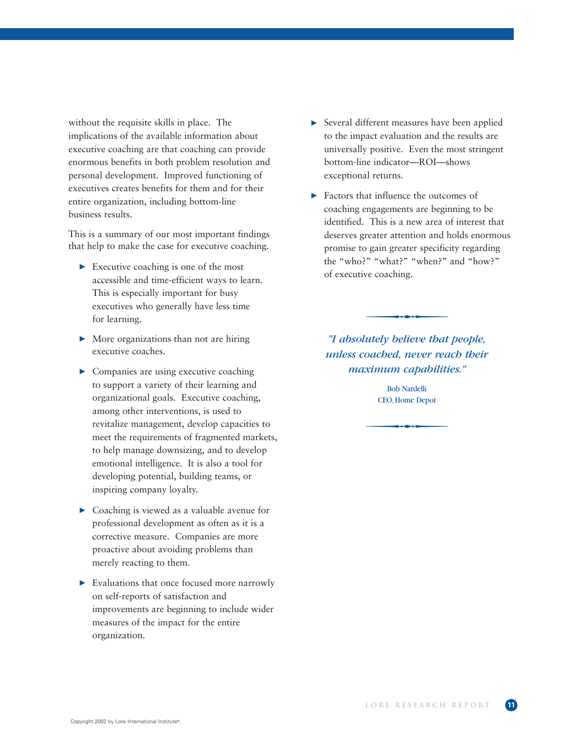without the requisite skills in place. The implications of the available information about executive coaching are that coaching can provide enormous benefits in both problem resolution and personal development. Improved functioning of executives creates benefits for them and for their entire organization, including bottom-line business results.

This is a summary of our most important findings that help to make the case for executive coaching.

- Executive coaching is one of the most accessible and time-efficient ways to learn. This is especially important for busy executives who generally have less time for learning.
- More organizations than not are hiring executive coaches.
- $\triangleright$  Companies are using executive coaching to support a variety of their learning and organizational goals. Executive coaching, among other interventions, is used to revitalize management, develop capacities to meet the requirements of fragmented markets, to help manage downsizing, and to develop emotional intelligence. It is also a tool for developing potential, building teams, or inspiring company loyalty.
- ▶ Coaching is viewed as a valuable avenue for professional development as often as it is a corrective measure. Companies are more proactive about avoiding problems than merely reacting to them.
- Evaluations that once focused more narrowly on self-reports of satisfaction and improvements are beginning to include wider measures of the impact for the entire organization.
- Several different measures have been applied to the impact evaluation and the results are universally positive. Even the most stringent bottom-line indicator—ROI—shows exceptional returns.
- Factors that influence the outcomes of coaching engagements are beginning to be identified. This is a new area of interest that deserves greater attention and holds enormous promise to gain greater specificity regarding the "who?" "what?" "when?" and "how?"<br>of executive coaching.<br>The decision that bootles of executive coaching.

*"I absolutely believe that people, unless coached, never reach their maximum capabilities."* 

ximum capabilities."<br>Bob Nardelli<br>CEO, Home Depot Bob Nardelli CEO, Home Depot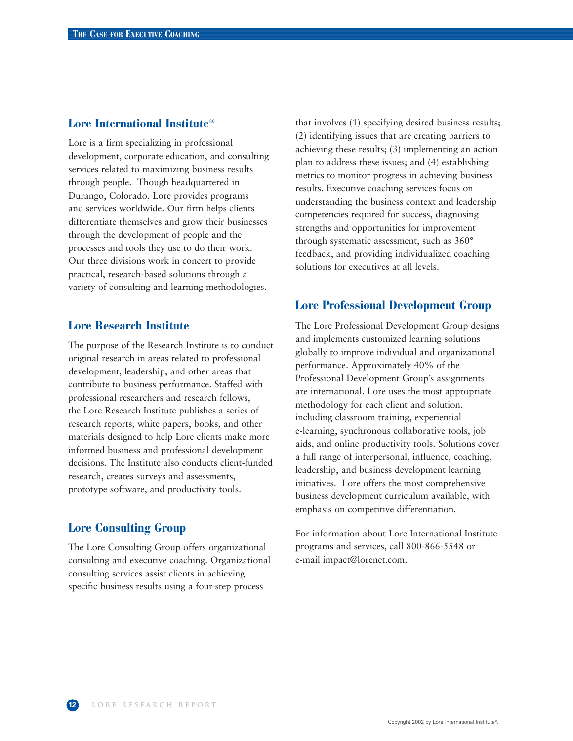### **Lore International Institute®**

Lore is a firm specializing in professional development, corporate education, and consulting services related to maximizing business results through people. Though headquartered in Durango, Colorado, Lore provides programs and services worldwide. Our firm helps clients differentiate themselves and grow their businesses through the development of people and the processes and tools they use to do their work. Our three divisions work in concert to provide practical, research-based solutions through a variety of consulting and learning methodologies.

# **Lore Research Institute**

The purpose of the Research Institute is to conduct original research in areas related to professional development, leadership, and other areas that contribute to business performance. Staffed with professional researchers and research fellows, the Lore Research Institute publishes a series of research reports, white papers, books, and other materials designed to help Lore clients make more informed business and professional development decisions. The Institute also conducts client-funded research, creates surveys and assessments, prototype software, and productivity tools.

# **Lore Consulting Group**

The Lore Consulting Group offers organizational consulting and executive coaching. Organizational consulting services assist clients in achieving specific business results using a four-step process

that involves (1) specifying desired business results; (2) identifying issues that are creating barriers to achieving these results; (3) implementing an action plan to address these issues; and (4) establishing metrics to monitor progress in achieving business results. Executive coaching services focus on understanding the business context and leadership competencies required for success, diagnosing strengths and opportunities for improvement through systematic assessment, such as 360° feedback, and providing individualized coaching solutions for executives at all levels.

# **Lore Professional Development Group**

The Lore Professional Development Group designs and implements customized learning solutions globally to improve individual and organizational performance. Approximately 40% of the Professional Development Group's assignments are international. Lore uses the most appropriate methodology for each client and solution, including classroom training, experiential e-learning, synchronous collaborative tools, job aids, and online productivity tools. Solutions cover a full range of interpersonal, influence, coaching, leadership, and business development learning initiatives. Lore offers the most comprehensive business development curriculum available, with emphasis on competitive differentiation.

For information about Lore International Institute programs and services, call 800-866-5548 or e-mail impact@lorenet.com.